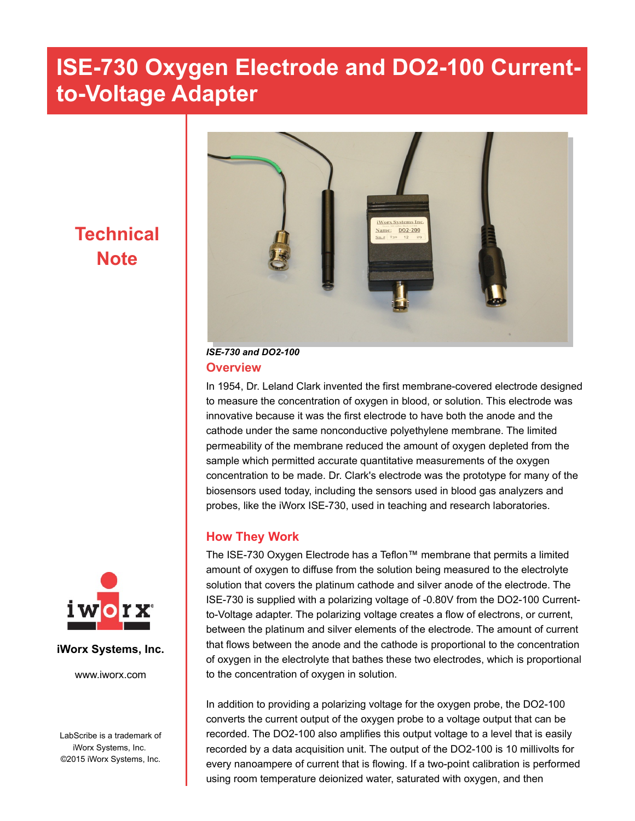### **Technical Note**



#### *ISE-730 and DO2-100* **Overview**

In 1954, Dr. Leland Clark invented the first membrane-covered electrode designed to measure the concentration of oxygen in blood, or solution. This electrode was innovative because it was the first electrode to have both the anode and the cathode under the same nonconductive polyethylene membrane. The limited permeability of the membrane reduced the amount of oxygen depleted from the sample which permitted accurate quantitative measurements of the oxygen concentration to be made. Dr. Clark's electrode was the prototype for many of the biosensors used today, including the sensors used in blood gas analyzers and probes, like the iWorx ISE-730, used in teaching and research laboratories.

### **How They Work**

The ISE-730 Oxygen Electrode has a Teflon™ membrane that permits a limited amount of oxygen to diffuse from the solution being measured to the electrolyte solution that covers the platinum cathode and silver anode of the electrode. The ISE-730 is supplied with a polarizing voltage of -0.80V from the DO2-100 Currentto-Voltage adapter. The polarizing voltage creates a flow of electrons, or current, between the platinum and silver elements of the electrode. The amount of current that flows between the anode and the cathode is proportional to the concentration of oxygen in the electrolyte that bathes these two electrodes, which is proportional to the concentration of oxygen in solution.

In addition to providing a polarizing voltage for the oxygen probe, the DO2-100 converts the current output of the oxygen probe to a voltage output that can be recorded. The DO2-100 also amplifies this output voltage to a level that is easily recorded by a data acquisition unit. The output of the DO2-100 is 10 millivolts for every nanoampere of current that is flowing. If a two-point calibration is performed using room temperature deionized water, saturated with oxygen, and then



#### **iWorx Systems, Inc.**

www.iworx.com

LabScribe is a trademark of iWorx Systems, Inc. ©2015 iWorx Systems, Inc.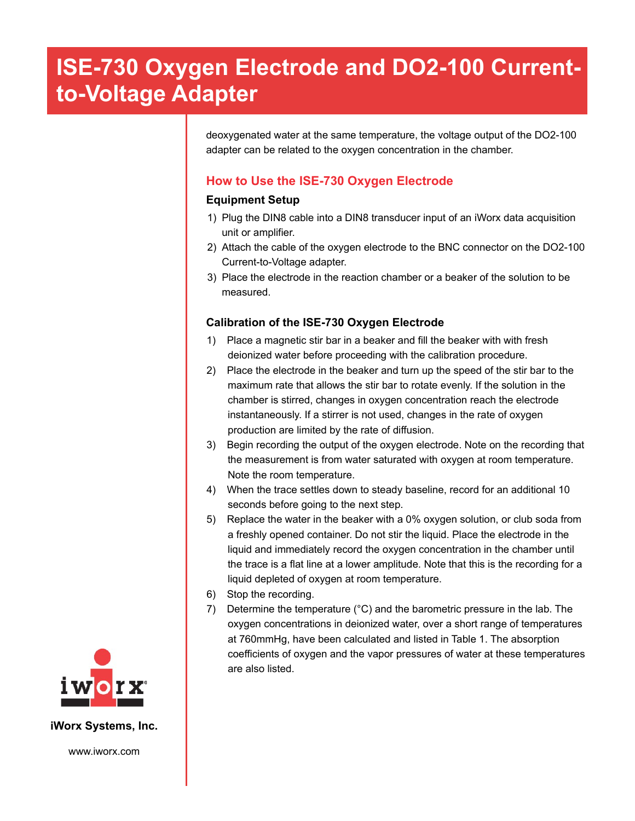deoxygenated water at the same temperature, the voltage output of the DO2-100 adapter can be related to the oxygen concentration in the chamber.

### **How to Use the ISE-730 Oxygen Electrode**

#### **Equipment Setup**

- 1) Plug the DIN8 cable into a DIN8 transducer input of an iWorx data acquisition unit or amplifier.
- 2) Attach the cable of the oxygen electrode to the BNC connector on the DO2-100 Current-to-Voltage adapter.
- 3) Place the electrode in the reaction chamber or a beaker of the solution to be measured.

#### **Calibration of the ISE-730 Oxygen Electrode**

- 1) Place a magnetic stir bar in a beaker and fill the beaker with with fresh deionized water before proceeding with the calibration procedure.
- 2) Place the electrode in the beaker and turn up the speed of the stir bar to the maximum rate that allows the stir bar to rotate evenly. If the solution in the chamber is stirred, changes in oxygen concentration reach the electrode instantaneously. If a stirrer is not used, changes in the rate of oxygen production are limited by the rate of diffusion.
- 3) Begin recording the output of the oxygen electrode. Note on the recording that the measurement is from water saturated with oxygen at room temperature. Note the room temperature.
- 4) When the trace settles down to steady baseline, record for an additional 10 seconds before going to the next step.
- 5) Replace the water in the beaker with a 0% oxygen solution, or club soda from a freshly opened container. Do not stir the liquid. Place the electrode in the liquid and immediately record the oxygen concentration in the chamber until the trace is a flat line at a lower amplitude. Note that this is the recording for a liquid depleted of oxygen at room temperature.
- 6) Stop the recording.
- 7) Determine the temperature (°C) and the barometric pressure in the lab. The oxygen concentrations in deionized water, over a short range of temperatures at 760mmHg, have been calculated and listed in Table 1. The absorption coefficients of oxygen and the vapor pressures of water at these temperatures are also listed.



**iWorx Systems, Inc.**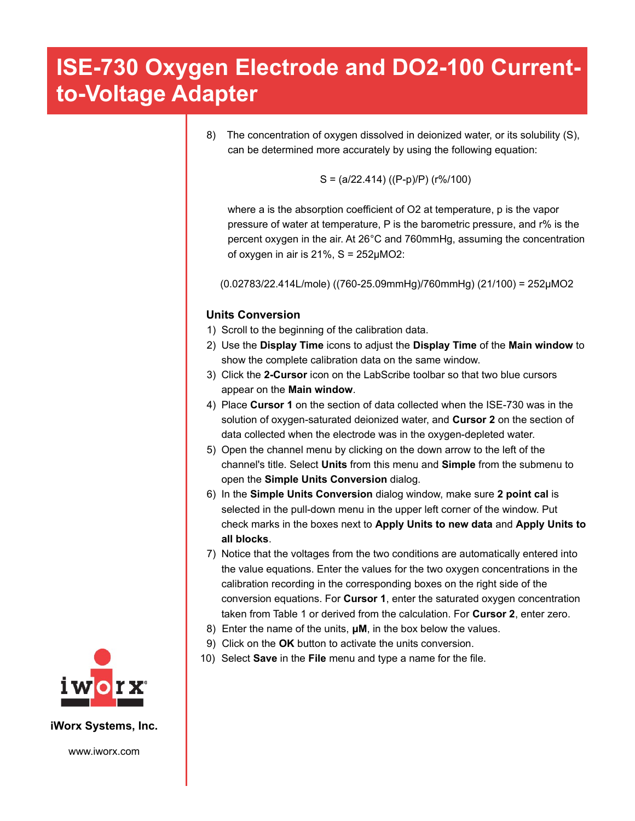8) The concentration of oxygen dissolved in deionized water, or its solubility (S), can be determined more accurately by using the following equation:

$$
S = (a/22.414) ((P-p)/P) (r\%/100)
$$

where a is the absorption coefficient of O2 at temperature, p is the vapor pressure of water at temperature, P is the barometric pressure, and r% is the percent oxygen in the air. At 26°C and 760mmHg, assuming the concentration of oxygen in air is  $21\%$ , S =  $252\mu\text{MO}2$ :

(0.02783/22.414L/mole) ((760-25.09mmHg)/760mmHg) (21/100) = 252µMO2

#### **Units Conversion**

- 1) Scroll to the beginning of the calibration data.
- 2) Use the **Display Time** icons to adjust the **Display Time** of the **Main window** to show the complete calibration data on the same window.
- 3) Click the **2-Cursor** icon on the LabScribe toolbar so that two blue cursors appear on the **Main window**.
- 4) Place **Cursor 1** on the section of data collected when the ISE-730 was in the solution of oxygen-saturated deionized water, and **Cursor 2** on the section of data collected when the electrode was in the oxygen-depleted water.
- 5) Open the channel menu by clicking on the down arrow to the left of the channel's title. Select **Units** from this menu and **Simple** from the submenu to open the **Simple Units Conversion** dialog.
- 6) In the **Simple Units Conversion** dialog window, make sure **2 point cal** is selected in the pull-down menu in the upper left corner of the window. Put check marks in the boxes next to **Apply Units to new data** and **Apply Units to all blocks**.
- 7) Notice that the voltages from the two conditions are automatically entered into the value equations. Enter the values for the two oxygen concentrations in the calibration recording in the corresponding boxes on the right side of the conversion equations. For **Cursor 1**, enter the saturated oxygen concentration taken from Table 1 or derived from the calculation. For **Cursor 2**, enter zero.
- 8) Enter the name of the units, **μM**, in the box below the values.
- 9) Click on the **OK** button to activate the units conversion.
- 10) Select **Save** in the **File** menu and type a name for the file.



**iWorx Systems, Inc.**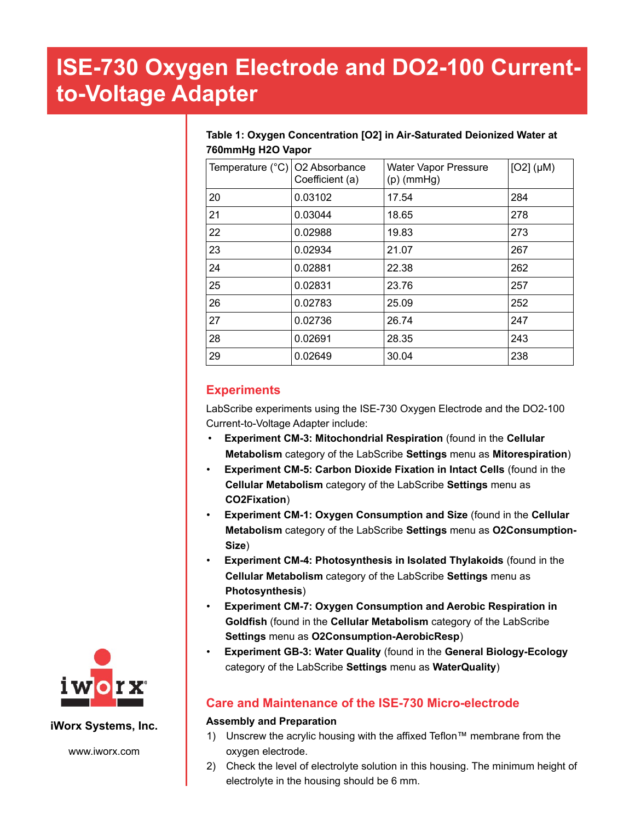#### **Table 1: Oxygen Concentration [O2] in Air-Saturated Deionized Water at 760mmHg H2O Vapor**

| Temperature $(^{\circ}C)$ O2 Absorbance | Coefficient (a) | <b>Water Vapor Pressure</b><br>$(p)$ (mmHg) | $[O2]$ ( $\mu$ M) |
|-----------------------------------------|-----------------|---------------------------------------------|-------------------|
| 20                                      | 0.03102         | 17.54                                       | 284               |
| 21                                      | 0.03044         | 18.65                                       | 278               |
| 22                                      | 0.02988         | 19.83                                       | 273               |
| 23                                      | 0.02934         | 21.07                                       | 267               |
| 24                                      | 0.02881         | 22.38                                       | 262               |
| 25                                      | 0.02831         | 23.76                                       | 257               |
| 26                                      | 0.02783         | 25.09                                       | 252               |
| 27                                      | 0.02736         | 26.74                                       | 247               |
| 28                                      | 0.02691         | 28.35                                       | 243               |
| 29                                      | 0.02649         | 30.04                                       | 238               |

### **Experiments**

LabScribe experiments using the ISE-730 Oxygen Electrode and the DO2-100 Current-to-Voltage Adapter include:

- **Experiment CM-3: Mitochondrial Respiration** (found in the **Cellular Metabolism** category of the LabScribe **Settings** menu as **Mitorespiration**)
- **Experiment CM-5: Carbon Dioxide Fixation in Intact Cells** (found in the **Cellular Metabolism** category of the LabScribe **Settings** menu as **CO2Fixation**)
- **Experiment CM-1: Oxygen Consumption and Size** (found in the **Cellular Metabolism** category of the LabScribe **Settings** menu as **O2Consumption-Size**)
- **Experiment CM-4: Photosynthesis in Isolated Thylakoids** (found in the **Cellular Metabolism** category of the LabScribe **Settings** menu as **Photosynthesis**)
- **Experiment CM-7: Oxygen Consumption and Aerobic Respiration in Goldfish** (found in the **Cellular Metabolism** category of the LabScribe **Settings** menu as **O2Consumption-AerobicResp**)
- **Experiment GB-3: Water Quality** (found in the **General Biology-Ecology** category of the LabScribe **Settings** menu as **WaterQuality**)

### **Care and Maintenance of the ISE-730 Micro-electrode**

#### **Assembly and Preparation**

- 1) Unscrew the acrylic housing with the affixed Teflon™ membrane from the oxygen electrode.
- 2) Check the level of electrolyte solution in this housing. The minimum height of electrolyte in the housing should be 6 mm.



#### **iWorx Systems, Inc.**